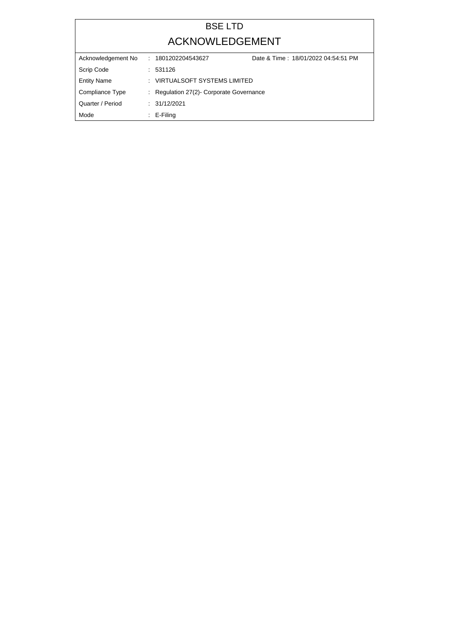## BSE LTD ACKNOWLEDGEMENT

| Acknowledgement No | Date & Time: 18/01/2022 04:54:51 PM<br>: 1801202204543627 |  |
|--------------------|-----------------------------------------------------------|--|
| Scrip Code         | : 531126                                                  |  |
| <b>Entity Name</b> | : VIRTUALSOFT SYSTEMS LIMITED                             |  |
| Compliance Type    | : Regulation 27(2) Corporate Governance                   |  |
| Quarter / Period   | : 31/12/2021                                              |  |
| Mode               | $\therefore$ E-Filing                                     |  |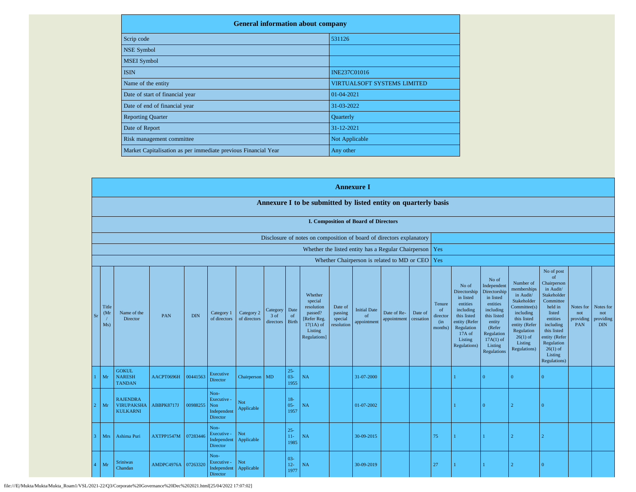| <b>General information about company</b>                       |                                    |  |  |  |  |  |  |
|----------------------------------------------------------------|------------------------------------|--|--|--|--|--|--|
| Scrip code                                                     | 531126                             |  |  |  |  |  |  |
| <b>NSE Symbol</b>                                              |                                    |  |  |  |  |  |  |
| <b>MSEI</b> Symbol                                             |                                    |  |  |  |  |  |  |
| <b>ISIN</b>                                                    | <b>INE237C01016</b>                |  |  |  |  |  |  |
| Name of the entity                                             | <b>VIRTUALSOFT SYSTEMS LIMITED</b> |  |  |  |  |  |  |
| Date of start of financial year                                | 01-04-2021                         |  |  |  |  |  |  |
| Date of end of financial year                                  | 31-03-2022                         |  |  |  |  |  |  |
| <b>Reporting Quarter</b>                                       | Quarterly                          |  |  |  |  |  |  |
| Date of Report                                                 | 31-12-2021                         |  |  |  |  |  |  |
| Risk management committee                                      | Not Applicable                     |  |  |  |  |  |  |
| Market Capitalisation as per immediate previous Financial Year | Any other                          |  |  |  |  |  |  |

|                            |                                                                |            |            |                                                           |                            |                                 | <b>Annexure I</b>        |                                                                                                      |                                             |                                                           |                            |                      |                                                        |                                                                                                                                                |                                                                                                                                                                      |                                                                                                                                                                          |                                                                                                                                                                                                                       |                                             |                                             |
|----------------------------|----------------------------------------------------------------|------------|------------|-----------------------------------------------------------|----------------------------|---------------------------------|--------------------------|------------------------------------------------------------------------------------------------------|---------------------------------------------|-----------------------------------------------------------|----------------------------|----------------------|--------------------------------------------------------|------------------------------------------------------------------------------------------------------------------------------------------------|----------------------------------------------------------------------------------------------------------------------------------------------------------------------|--------------------------------------------------------------------------------------------------------------------------------------------------------------------------|-----------------------------------------------------------------------------------------------------------------------------------------------------------------------------------------------------------------------|---------------------------------------------|---------------------------------------------|
|                            | Annexure I to be submitted by listed entity on quarterly basis |            |            |                                                           |                            |                                 |                          |                                                                                                      |                                             |                                                           |                            |                      |                                                        |                                                                                                                                                |                                                                                                                                                                      |                                                                                                                                                                          |                                                                                                                                                                                                                       |                                             |                                             |
|                            |                                                                |            |            |                                                           |                            |                                 |                          |                                                                                                      |                                             | <b>I. Composition of Board of Directors</b>               |                            |                      |                                                        |                                                                                                                                                |                                                                                                                                                                      |                                                                                                                                                                          |                                                                                                                                                                                                                       |                                             |                                             |
|                            |                                                                |            |            |                                                           |                            |                                 |                          | Disclosure of notes on composition of board of directors explanatory                                 |                                             |                                                           |                            |                      |                                                        |                                                                                                                                                |                                                                                                                                                                      |                                                                                                                                                                          |                                                                                                                                                                                                                       |                                             |                                             |
|                            |                                                                |            |            |                                                           |                            |                                 |                          |                                                                                                      |                                             | Whether the listed entity has a Regular Chairperson   Yes |                            |                      |                                                        |                                                                                                                                                |                                                                                                                                                                      |                                                                                                                                                                          |                                                                                                                                                                                                                       |                                             |                                             |
|                            |                                                                |            |            |                                                           |                            |                                 |                          |                                                                                                      |                                             | Whether Chairperson is related to MD or CEO Yes           |                            |                      |                                                        |                                                                                                                                                |                                                                                                                                                                      |                                                                                                                                                                          |                                                                                                                                                                                                                       |                                             |                                             |
| Title<br>(Mr)<br>Sr<br>Ms) | Name of the<br>Director                                        | PAN        | <b>DIN</b> | Category 1<br>of directors                                | Category 2<br>of directors | Category<br>$3$ of<br>directors | Date<br>of<br>Birth      | Whether<br>special<br>resolution<br>passed?<br>[Refer Reg.<br>$17(1A)$ of<br>Listing<br>Regulations] | Date of<br>passing<br>special<br>resolution | <b>Initial Date</b><br>of<br>appointment                  | Date of Re-<br>appointment | Date of<br>cessation | Tenure<br><sub>of</sub><br>director<br>(in)<br>months) | No of<br>Directorship<br>in listed<br>entities<br>including<br>this listed<br>entity (Refer<br>Regulation<br>17A of<br>Listing<br>Regulations) | No of<br>Independent<br>Directorship<br>in listed<br>entities<br>including<br>this listed<br>entity<br>(Refer<br>Regulation<br>$17A(1)$ of<br>Listing<br>Regulations | Number of<br>memberships<br>in Audit/<br>Stakeholder<br>Committee(s)<br>including<br>this listed<br>entity (Refer<br>Regulation<br>$26(1)$ of<br>Listing<br>Regulations) | No of post<br>$\sigma$ f<br>Chairperson<br>in Audit/<br>Stakeholder<br>Committee<br>held in<br>listed<br>entities<br>including<br>this listed<br>entity (Refer<br>Regulation<br>$26(1)$ of<br>Listing<br>Regulations) | Notes for<br>not<br>providing<br><b>PAN</b> | Notes for<br>not<br>providing<br><b>DIN</b> |
| Mr                         | <b>GOKUL</b><br><b>NARESH</b><br><b>TANDAN</b>                 | AACPT0696H | 00441563   | Executive<br>Director                                     | Chairperson MD             |                                 | $25 -$<br>$03 -$<br>1955 | NA                                                                                                   |                                             | 31-07-2000                                                |                            |                      |                                                        |                                                                                                                                                | $\Omega$                                                                                                                                                             | $\Omega$                                                                                                                                                                 | $\overline{0}$                                                                                                                                                                                                        |                                             |                                             |
| Mr                         | <b>RAJENDRA</b><br><b>VIRUPAKSHA</b><br><b>KULKARNI</b>        | ABBPK8717J | 00988255   | Non-<br>Executive -<br>Non<br>Independent<br>Director     | Not<br>Applicable          |                                 | $18-$<br>$05 -$<br>1957  | NA                                                                                                   |                                             | 01-07-2002                                                |                            |                      |                                                        |                                                                                                                                                | $\Omega$                                                                                                                                                             | $\mathcal{D}$                                                                                                                                                            | $\Omega$                                                                                                                                                                                                              |                                             |                                             |
| Mrs                        | Ashima Puri                                                    | AXTPP1547M | 07283446   | Non-<br>Executive -<br>Independent<br>Director            | <b>Not</b><br>Applicable   |                                 | $25 -$<br>$11-$<br>1985  | NA                                                                                                   |                                             | 30-09-2015                                                |                            |                      | 75                                                     |                                                                                                                                                | 1                                                                                                                                                                    |                                                                                                                                                                          |                                                                                                                                                                                                                       |                                             |                                             |
| Mr                         | <b>Sriniwas</b><br>Chandan                                     | AMDPC4976A | 07263320   | Non-<br>Executive -<br>Independent Applicable<br>Director | Not                        |                                 | $03 -$<br>$12-$<br>1977  | NA                                                                                                   |                                             | 30-09-2019                                                |                            |                      | 27                                                     |                                                                                                                                                |                                                                                                                                                                      |                                                                                                                                                                          | $\Omega$                                                                                                                                                                                                              |                                             |                                             |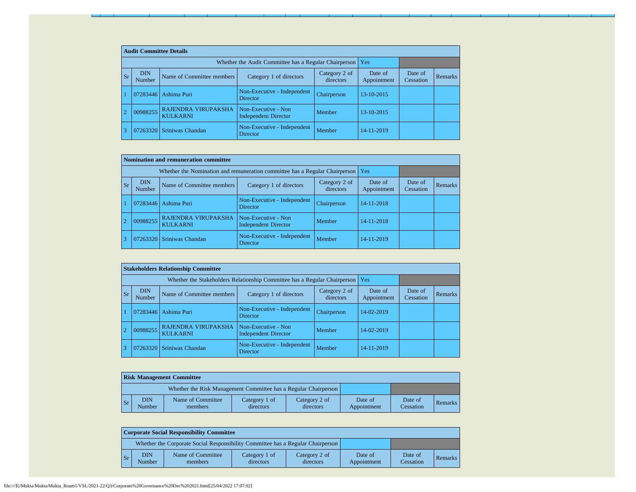|           | <b>Audit Committee Details</b> |                                                             |                                                    |                            |                        |                      |                |  |  |  |  |
|-----------|--------------------------------|-------------------------------------------------------------|----------------------------------------------------|----------------------------|------------------------|----------------------|----------------|--|--|--|--|
|           |                                | Whether the Audit Committee has a Regular Chairperson   Yes |                                                    |                            |                        |                      |                |  |  |  |  |
| <b>Sr</b> | <b>DIN</b><br>Number           | Name of Committee members                                   | Category 1 of directors                            | Category 2 of<br>directors | Date of<br>Appointment | Date of<br>Cessation | <b>Remarks</b> |  |  |  |  |
|           | 07283446                       | Ashima Puri                                                 | Non-Executive - Independent<br><b>Director</b>     | Chairperson                | 13-10-2015             |                      |                |  |  |  |  |
|           | 00988255                       | RAJENDRA VIRUPAKSHA<br><b>KULKARNI</b>                      | Non-Executive - Non<br><b>Independent Director</b> | Member                     | 13-10-2015             |                      |                |  |  |  |  |
|           | 07263320                       | Sriniwas Chandan                                            | Non-Executive - Independent<br><b>Director</b>     | Member                     | 14-11-2019             |                      |                |  |  |  |  |

|                | Nomination and remuneration committee                                                                      |                                               |                                                    |             |            |                      |         |  |  |  |  |
|----------------|------------------------------------------------------------------------------------------------------------|-----------------------------------------------|----------------------------------------------------|-------------|------------|----------------------|---------|--|--|--|--|
|                | Whether the Nomination and remuneration committee has a Regular Chairperson                                |                                               |                                                    |             |            |                      |         |  |  |  |  |
| <b>Sr</b>      | <b>DIN</b><br>Category 2 of<br>Name of Committee members<br>Category 1 of directors<br>directors<br>Number |                                               |                                                    |             |            | Date of<br>Cessation | Remarks |  |  |  |  |
|                | 07283446                                                                                                   | Ashima Puri                                   | Non-Executive - Independent<br><b>Director</b>     | Chairperson | 14-11-2018 |                      |         |  |  |  |  |
| $\overline{2}$ | 00988255                                                                                                   | <b>RAJENDRA VIRUPAKSHA</b><br><b>KULKARNI</b> | Non-Executive - Non<br><b>Independent Director</b> | Member      | 14-11-2018 |                      |         |  |  |  |  |
|                | 07263320                                                                                                   | Sriniwas Chandan                              | Non-Executive - Independent<br>Director            | Member      | 14-11-2019 |                      |         |  |  |  |  |

|                |           |                      | <b>Stakeholders Relationship Committee</b> |                                                    |                            |                        |                      |         |
|----------------|-----------|----------------------|--------------------------------------------|----------------------------------------------------|----------------------------|------------------------|----------------------|---------|
|                |           |                      |                                            |                                                    |                            |                        |                      |         |
|                | <b>Sr</b> | <b>DIN</b><br>Number | Name of Committee members                  | Category 1 of directors                            | Category 2 of<br>directors | Date of<br>Appointment | Date of<br>Cessation | Remarks |
|                |           | 07283446             | Ashima Puri                                | Non-Executive - Independent<br><b>Director</b>     | Chairperson                | 14-02-2019             |                      |         |
| $\overline{2}$ |           | 00988255             | RAJENDRA VIRUPAKSHA<br><b>KULKARNI</b>     | Non-Executive - Non<br><b>Independent Director</b> | Member                     | 14-02-2019             |                      |         |
| 3              |           |                      | 07263320 Sriniwas Chandan                  | Non-Executive - Independent<br><b>Director</b>     | Member                     | 14-11-2019             |                      |         |

|                                                                 | <b>Risk Management Committee</b> |                              |                            |                            |                        |                      |         |  |  |  |  |  |
|-----------------------------------------------------------------|----------------------------------|------------------------------|----------------------------|----------------------------|------------------------|----------------------|---------|--|--|--|--|--|
| Whether the Risk Management Committee has a Regular Chairperson |                                  |                              |                            |                            |                        |                      |         |  |  |  |  |  |
| $\mathsf{S}$ r                                                  | <b>DIN</b><br>Number             | Name of Committee<br>members | Category 1 of<br>directors | Category 2 of<br>directors | Date of<br>Appointment | Date of<br>Cessation | Remarks |  |  |  |  |  |

|                | <b>Corporate Social Responsibility Committee</b> |                                                                                 |                            |                            |                        |                      |                |  |  |  |  |
|----------------|--------------------------------------------------|---------------------------------------------------------------------------------|----------------------------|----------------------------|------------------------|----------------------|----------------|--|--|--|--|
|                |                                                  | Whether the Corporate Social Responsibility Committee has a Regular Chairperson |                            |                            |                        |                      |                |  |  |  |  |
| $\mathsf{S}_r$ | <b>DIN</b><br>Number                             | Name of Committee<br>members                                                    | Category 1 of<br>directors | Category 2 of<br>directors | Date of<br>Appointment | Date of<br>Cessation | <b>Remarks</b> |  |  |  |  |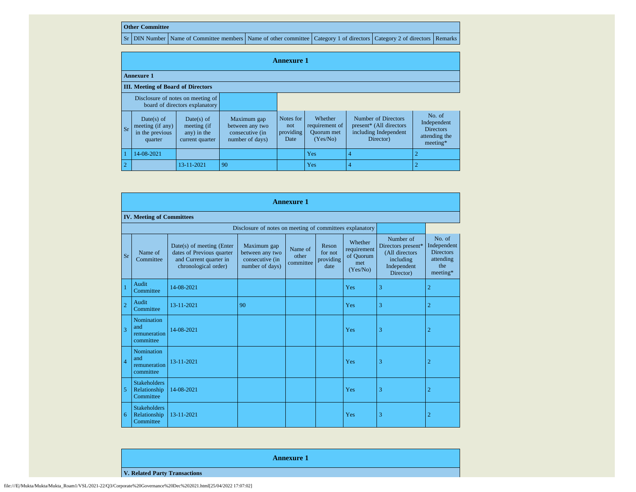## **Other Committee**

Sr DIN Number Name of Committee members Name of other committee Category 1 of directors Category 2 of directors Remarks

|                | <b>Annexure 1</b>                                                   |                                                             |                                                                      |                                       |                                                            |                                                                                      |                                                                        |  |  |  |  |
|----------------|---------------------------------------------------------------------|-------------------------------------------------------------|----------------------------------------------------------------------|---------------------------------------|------------------------------------------------------------|--------------------------------------------------------------------------------------|------------------------------------------------------------------------|--|--|--|--|
|                | <b>Annexure 1</b>                                                   |                                                             |                                                                      |                                       |                                                            |                                                                                      |                                                                        |  |  |  |  |
|                | <b>III.</b> Meeting of Board of Directors                           |                                                             |                                                                      |                                       |                                                            |                                                                                      |                                                                        |  |  |  |  |
|                | Disclosure of notes on meeting of<br>board of directors explanatory |                                                             |                                                                      |                                       |                                                            |                                                                                      |                                                                        |  |  |  |  |
| l Sr           | Date(s) of<br>meeting (if any)<br>in the previous<br>quarter        | Date(s) of<br>meeting (if<br>any) in the<br>current quarter | Maximum gap<br>between any two<br>consecutive (in<br>number of days) | Notes for<br>not<br>providing<br>Date | Whether<br>requirement of<br><b>Ouorum</b> met<br>(Yes/No) | Number of Directors<br>present* (All directors<br>including Independent<br>Director) | No. of<br>Independent<br><b>Directors</b><br>attending the<br>meeting* |  |  |  |  |
|                | 14-08-2021                                                          |                                                             |                                                                      |                                       | Yes                                                        |                                                                                      |                                                                        |  |  |  |  |
| $\overline{2}$ |                                                                     | 13-11-2021                                                  | 90                                                                   |                                       | Yes                                                        |                                                                                      |                                                                        |  |  |  |  |

|                                  |                                                          |                                                                                                          |                                                                      | <b>Annexure 1</b>             |                                       |                                                        |                                                                                            |                                                                           |  |  |  |  |  |
|----------------------------------|----------------------------------------------------------|----------------------------------------------------------------------------------------------------------|----------------------------------------------------------------------|-------------------------------|---------------------------------------|--------------------------------------------------------|--------------------------------------------------------------------------------------------|---------------------------------------------------------------------------|--|--|--|--|--|
| <b>IV. Meeting of Committees</b> |                                                          |                                                                                                          |                                                                      |                               |                                       |                                                        |                                                                                            |                                                                           |  |  |  |  |  |
|                                  | Disclosure of notes on meeting of committees explanatory |                                                                                                          |                                                                      |                               |                                       |                                                        |                                                                                            |                                                                           |  |  |  |  |  |
| <b>Sr</b>                        | Name of<br>Committee                                     | Date(s) of meeting (Enter<br>dates of Previous quarter<br>and Current quarter in<br>chronological order) | Maximum gap<br>between any two<br>consecutive (in<br>number of days) | Name of<br>other<br>committee | Reson<br>for not<br>providing<br>date | Whether<br>requirement<br>of Ouorum<br>met<br>(Yes/No) | Number of<br>Directors present*<br>(All directors<br>including<br>Independent<br>Director) | No. of<br>Independent<br><b>Directors</b><br>attending<br>the<br>meeting* |  |  |  |  |  |
|                                  | Audit<br>Committee                                       | 14-08-2021                                                                                               |                                                                      |                               |                                       | Yes                                                    | 3                                                                                          | $\overline{2}$                                                            |  |  |  |  |  |
| $\overline{2}$                   | Audit<br>Committee                                       | 13-11-2021                                                                                               | 90                                                                   |                               |                                       | Yes                                                    | 3                                                                                          | $\overline{2}$                                                            |  |  |  |  |  |
| 3                                | Nomination<br>and<br>remuneration<br>committee           | 14-08-2021                                                                                               |                                                                      |                               |                                       | Yes                                                    | 3                                                                                          | $\overline{2}$                                                            |  |  |  |  |  |
| $\overline{4}$                   | Nomination<br>and<br>remuneration<br>committee           | 13-11-2021                                                                                               |                                                                      |                               |                                       | Yes                                                    | 3                                                                                          | $\overline{2}$                                                            |  |  |  |  |  |
| 5                                | <b>Stakeholders</b><br>Relationship<br>Committee         | 14-08-2021                                                                                               |                                                                      |                               |                                       | Yes                                                    | 3                                                                                          | $\overline{2}$                                                            |  |  |  |  |  |
| 6                                | <b>Stakeholders</b><br>Relationship<br>Committee         | 13-11-2021                                                                                               |                                                                      |                               |                                       | Yes                                                    | 3                                                                                          | $\overline{2}$                                                            |  |  |  |  |  |

**V. Related Party Transactions**

**Annexure 1**